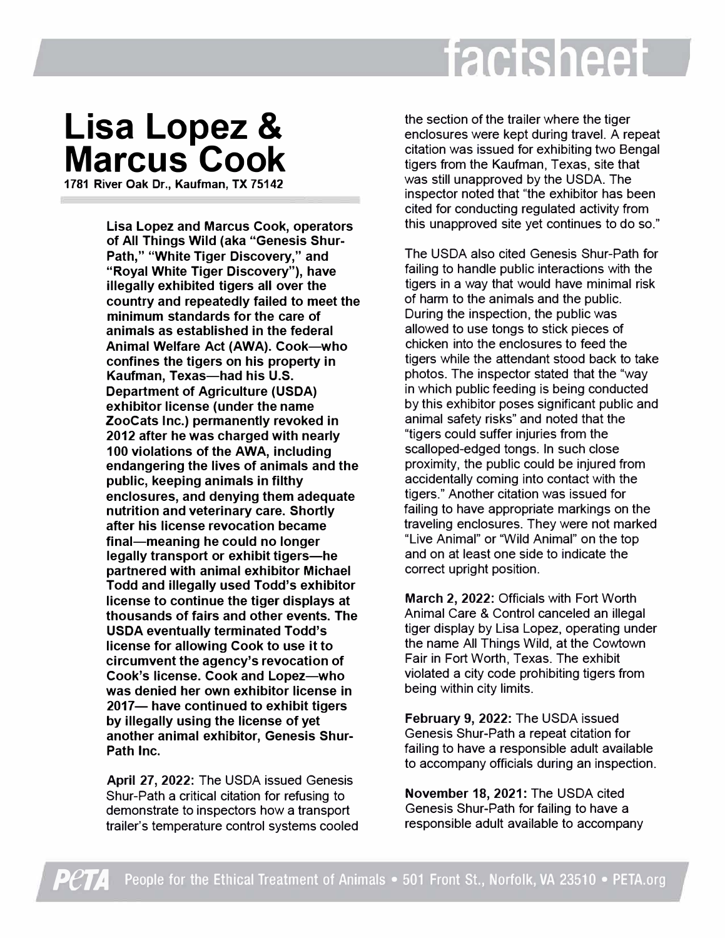## factsheet

## **Lisa Lopez & Marcus Cook**

**1781 River Oak Dr., Kaufman, TX 75142** 

**Lisa Lopez and Marcus Cook, operators of All Things Wild (aka "Genesis Shur-Path," "White Tiger Discovery," and "Royal White Tiger Discovery"), have illegally exhibited tigers all over the country and repeatedly failed to meet the minimum standards for the care of animals as established in the federal Animal Welfare Act (AWA). Cook-who confines the tigers on his property in Kaufman, Texas-had his U.S. Department of Agriculture (USDA) exhibitor license (under the name ZooCats Inc.) permanently revoked in 2012 after he was charged with nearly 100 violations of the AWA, including endangering the lives of animals and the public, keeping animals in filthy enclosures, and denying them adequate nutrition and veterinary care. Shortly after his license revocation became final-meaning he could no longer legally transport or exhibit tigers-he partnered with animal exhibitor Michael Todd and illegally used Todd's exhibitor license to continue the tiger displays at thousands of fairs and other events. The USDA eventually terminated Todd's license for allowing Cook to use it to circumvent the agency's revocation of Cook's license. Cook and Lopez-who was denied her own exhibitor license in 2017- have continued to exhibit tigers by illegally using the license of yet another animal exhibitor, Genesis Shur-Path Inc.** 

**April 27, 2022:** The USDA issued Genesis Shur-Path a critical citation for refusing to demonstrate to inspectors how a transport trailer's temperature control systems cooled

the section of the trailer where the tiger enclosures were kept during travel. A repeat citation was issued for exhibiting two Bengal tigers from the Kaufman, Texas, site that was still unapproved by the USDA. The inspector noted that "the exhibitor has been cited for conducting regulated activity from this unapproved site yet continues to do so."

The USDA also cited Genesis Shur-Path for failing to handle public interactions with the tigers in a way that would have minimal risk of harm to the animals and the public. During the inspection, the public was allowed to use tongs to stick pieces of chicken into the enclosures to feed the tigers while the attendant stood back to take photos. The inspector stated that the "way in which public feeding is being conducted by this exhibitor poses significant public and animal safety risks" and noted that the "tigers could suffer injuries from the scalloped-edged tongs. In such close proximity, the public could be injured from accidentally coming into contact with the tigers." Another citation was issued for failing to have appropriate markings on the traveling enclosures. They were not marked "Live Animal" or "Wild Animal" on the top and on at least one side to indicate the correct upright position.

**March 2, 2022:** Officials with Fort Worth Animal Care & Control canceled an illegal tiger display by Lisa Lopez, operating under the name All Things Wild, at the Cowtown Fair in Fort Worth, Texas. The exhibit violated a city code prohibiting tigers from being within city limits.

**February 9, 2022:** The USDA issued Genesis Shur-Path a repeat citation for failing to have a responsible adult available to accompany officials during an inspection.

**November 18, 2021:** The USDA cited Genesis Shur-Path for failing to have a responsible adult available to accompany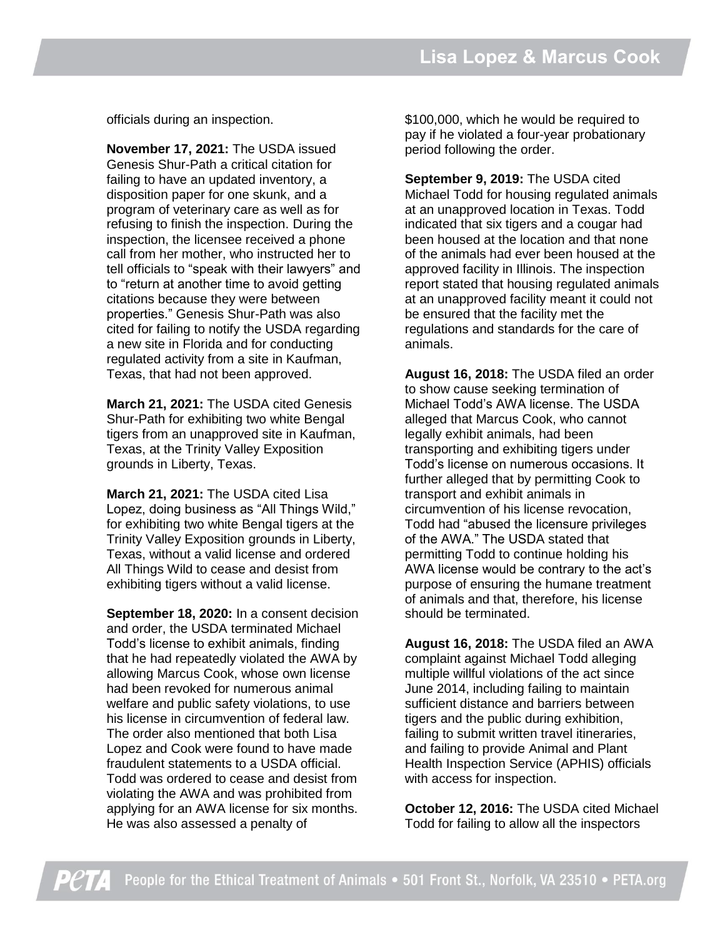officials during an inspection.

**November 17, 2021:** The USDA issued Genesis Shur-Path a critical citation for failing to have an updated inventory, a disposition paper for one skunk, and a program of veterinary care as well as for refusing to finish the inspection. During the inspection, the licensee received a phone call from her mother, who instructed her to tell officials to "speak with their lawyers" and to "return at another time to avoid getting citations because they were between properties." Genesis Shur-Path was also cited for failing to notify the USDA regarding a new site in Florida and for conducting regulated activity from a site in Kaufman, Texas, that had not been approved.

**March 21, 2021:** The USDA cited Genesis Shur-Path for exhibiting two white Bengal tigers from an unapproved site in Kaufman, Texas, at the Trinity Valley Exposition grounds in Liberty, Texas.

**March 21, 2021:** The USDA cited Lisa Lopez, doing business as "All Things Wild," for exhibiting two white Bengal tigers at the Trinity Valley Exposition grounds in Liberty, Texas, without a valid license and ordered All Things Wild to cease and desist from exhibiting tigers without a valid license.

**September 18, 2020:** In a consent decision and order, the USDA terminated Michael Todd's license to exhibit animals, finding that he had repeatedly violated the AWA by allowing Marcus Cook, whose own license had been revoked for numerous animal welfare and public safety violations, to use his license in circumvention of federal law. The order also mentioned that both Lisa Lopez and Cook were found to have made fraudulent statements to a USDA official. Todd was ordered to cease and desist from violating the AWA and was prohibited from applying for an AWA license for six months. He was also assessed a penalty of

\$100,000, which he would be required to pay if he violated a four-year probationary period following the order.

**September 9, 2019:** The USDA cited Michael Todd for housing regulated animals at an unapproved location in Texas. Todd indicated that six tigers and a cougar had been housed at the location and that none of the animals had ever been housed at the approved facility in Illinois. The inspection report stated that housing regulated animals at an unapproved facility meant it could not be ensured that the facility met the regulations and standards for the care of animals.

**August 16, 2018:** The USDA filed an order to show cause seeking termination of Michael Todd's AWA license. The USDA alleged that Marcus Cook, who cannot legally exhibit animals, had been transporting and exhibiting tigers under Todd's license on numerous occasions. It further alleged that by permitting Cook to transport and exhibit animals in circumvention of his license revocation, Todd had "abused the licensure privileges of the AWA." The USDA stated that permitting Todd to continue holding his AWA license would be contrary to the act's purpose of ensuring the humane treatment of animals and that, therefore, his license should be terminated.

**August 16, 2018:** The USDA filed an AWA complaint against Michael Todd alleging multiple willful violations of the act since June 2014, including failing to maintain sufficient distance and barriers between tigers and the public during exhibition, failing to submit written travel itineraries, and failing to provide Animal and Plant Health Inspection Service (APHIS) officials with access for inspection.

**October 12, 2016:** The USDA cited Michael Todd for failing to allow all the inspectors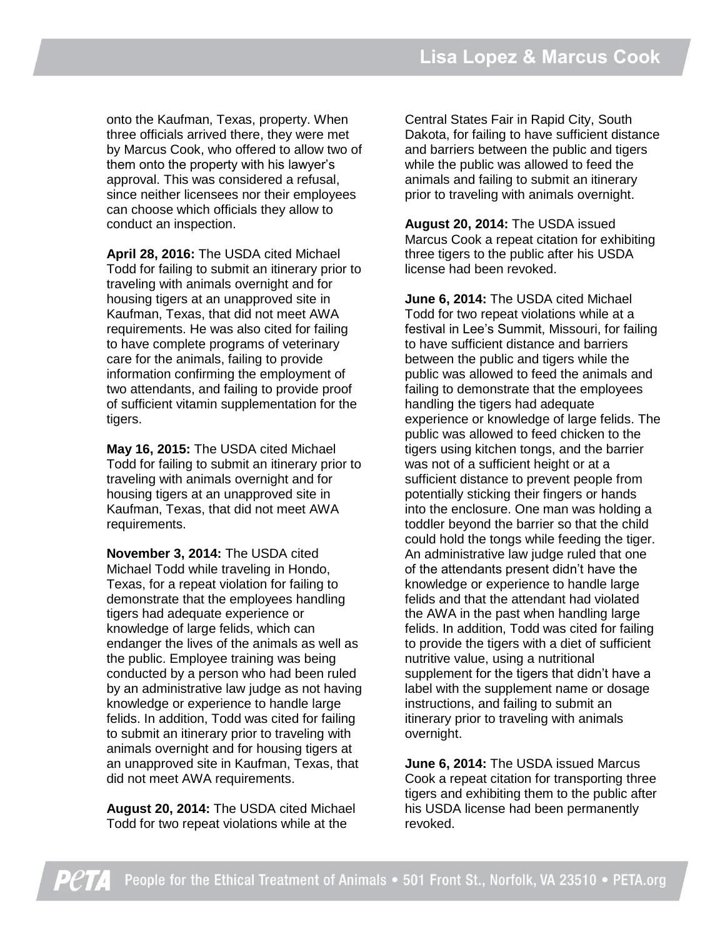onto the Kaufman, Texas, property. When three officials arrived there, they were met by Marcus Cook, who offered to allow two of them onto the property with his lawyer's approval. This was considered a refusal, since neither licensees nor their employees can choose which officials they allow to conduct an inspection.

**April 28, 2016:** The USDA cited Michael Todd for failing to submit an itinerary prior to traveling with animals overnight and for housing tigers at an unapproved site in Kaufman, Texas, that did not meet AWA requirements. He was also cited for failing to have complete programs of veterinary care for the animals, failing to provide information confirming the employment of two attendants, and failing to provide proof of sufficient vitamin supplementation for the tigers.

**May 16, 2015:** The USDA cited Michael Todd for failing to submit an itinerary prior to traveling with animals overnight and for housing tigers at an unapproved site in Kaufman, Texas, that did not meet AWA requirements.

**November 3, 2014:** The USDA cited Michael Todd while traveling in Hondo, Texas, for a repeat violation for failing to demonstrate that the employees handling tigers had adequate experience or knowledge of large felids, which can endanger the lives of the animals as well as the public. Employee training was being conducted by a person who had been ruled by an administrative law judge as not having knowledge or experience to handle large felids. In addition, Todd was cited for failing to submit an itinerary prior to traveling with animals overnight and for housing tigers at an unapproved site in Kaufman, Texas, that did not meet AWA requirements.

**August 20, 2014:** The USDA cited Michael Todd for two repeat violations while at the

Central States Fair in Rapid City, South Dakota, for failing to have sufficient distance and barriers between the public and tigers while the public was allowed to feed the animals and failing to submit an itinerary prior to traveling with animals overnight.

**August 20, 2014:** The USDA issued Marcus Cook a repeat citation for exhibiting three tigers to the public after his USDA license had been revoked.

**June 6, 2014:** The USDA cited Michael Todd for two repeat violations while at a festival in Lee's Summit, Missouri, for failing to have sufficient distance and barriers between the public and tigers while the public was allowed to feed the animals and failing to demonstrate that the employees handling the tigers had adequate experience or knowledge of large felids. The public was allowed to feed chicken to the tigers using kitchen tongs, and the barrier was not of a sufficient height or at a sufficient distance to prevent people from potentially sticking their fingers or hands into the enclosure. One man was holding a toddler beyond the barrier so that the child could hold the tongs while feeding the tiger. An administrative law judge ruled that one of the attendants present didn't have the knowledge or experience to handle large felids and that the attendant had violated the AWA in the past when handling large felids. In addition, Todd was cited for failing to provide the tigers with a diet of sufficient nutritive value, using a nutritional supplement for the tigers that didn't have a label with the supplement name or dosage instructions, and failing to submit an itinerary prior to traveling with animals overnight.

**June 6, 2014:** The USDA issued Marcus Cook a repeat citation for transporting three tigers and exhibiting them to the public after his USDA license had been permanently revoked.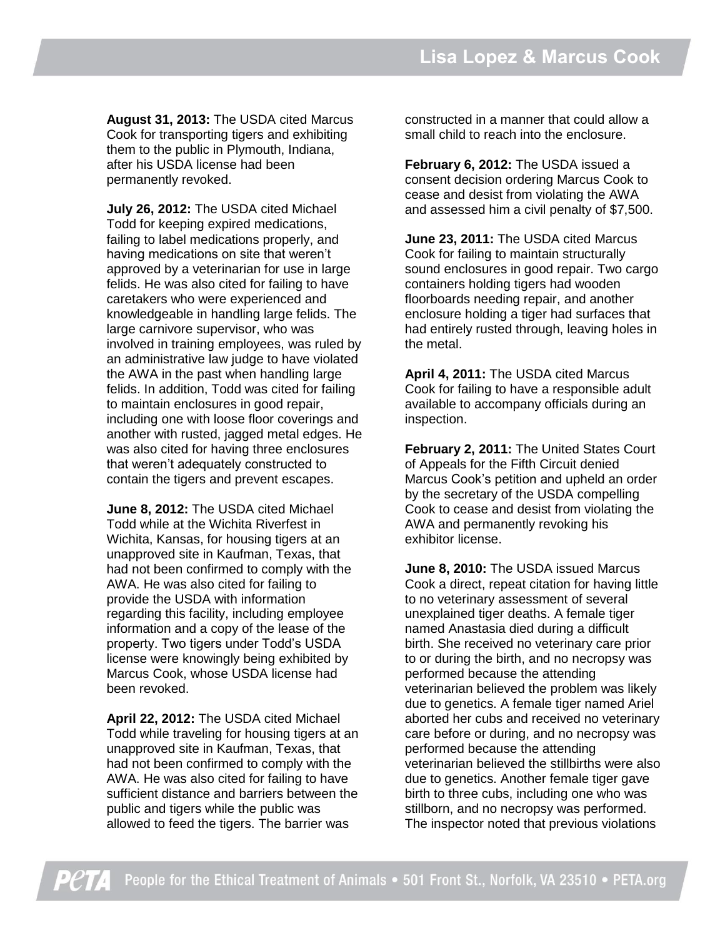**August 31, 2013:** The USDA cited Marcus Cook for transporting tigers and exhibiting them to the public in Plymouth, Indiana, after his USDA license had been permanently revoked.

**July 26, 2012:** The USDA cited Michael Todd for keeping expired medications, failing to label medications properly, and having medications on site that weren't approved by a veterinarian for use in large felids. He was also cited for failing to have caretakers who were experienced and knowledgeable in handling large felids. The large carnivore supervisor, who was involved in training employees, was ruled by an administrative law judge to have violated the AWA in the past when handling large felids. In addition, Todd was cited for failing to maintain enclosures in good repair, including one with loose floor coverings and another with rusted, jagged metal edges. He was also cited for having three enclosures that weren't adequately constructed to contain the tigers and prevent escapes.

**June 8, 2012:** The USDA cited Michael Todd while at the Wichita Riverfest in Wichita, Kansas, for housing tigers at an unapproved site in Kaufman, Texas, that had not been confirmed to comply with the AWA. He was also cited for failing to provide the USDA with information regarding this facility, including employee information and a copy of the lease of the property. Two tigers under Todd's USDA license were knowingly being exhibited by Marcus Cook, whose USDA license had been revoked.

**April 22, 2012:** The USDA cited Michael Todd while traveling for housing tigers at an unapproved site in Kaufman, Texas, that had not been confirmed to comply with the AWA. He was also cited for failing to have sufficient distance and barriers between the public and tigers while the public was allowed to feed the tigers. The barrier was

constructed in a manner that could allow a small child to reach into the enclosure.

**February 6, 2012:** The USDA issued a consent decision ordering Marcus Cook to cease and desist from violating the AWA and assessed him a civil penalty of \$7,500.

**June 23, 2011:** The USDA cited Marcus Cook for failing to maintain structurally sound enclosures in good repair. Two cargo containers holding tigers had wooden floorboards needing repair, and another enclosure holding a tiger had surfaces that had entirely rusted through, leaving holes in the metal.

**April 4, 2011:** The USDA cited Marcus Cook for failing to have a responsible adult available to accompany officials during an inspection.

**February 2, 2011:** The United States Court of Appeals for the Fifth Circuit denied Marcus Cook's petition and upheld an order by the secretary of the USDA compelling Cook to cease and desist from violating the AWA and permanently revoking his exhibitor license.

**June 8, 2010:** The USDA issued Marcus Cook a direct, repeat citation for having little to no veterinary assessment of several unexplained tiger deaths. A female tiger named Anastasia died during a difficult birth. She received no veterinary care prior to or during the birth, and no necropsy was performed because the attending veterinarian believed the problem was likely due to genetics. A female tiger named Ariel aborted her cubs and received no veterinary care before or during, and no necropsy was performed because the attending veterinarian believed the stillbirths were also due to genetics. Another female tiger gave birth to three cubs, including one who was stillborn, and no necropsy was performed. The inspector noted that previous violations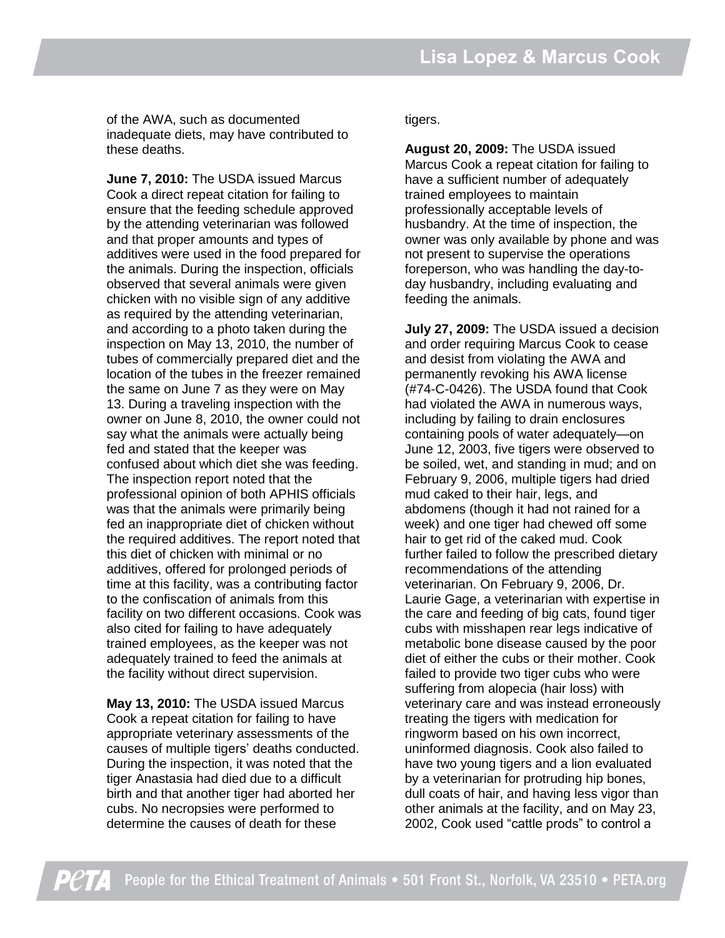of the AWA, such as documented inadequate diets, may have contributed to these deaths.

**June 7, 2010:** The USDA issued Marcus Cook a direct repeat citation for failing to ensure that the feeding schedule approved by the attending veterinarian was followed and that proper amounts and types of additives were used in the food prepared for the animals. During the inspection, officials observed that several animals were given chicken with no visible sign of any additive as required by the attending veterinarian, and according to a photo taken during the inspection on May 13, 2010, the number of tubes of commercially prepared diet and the location of the tubes in the freezer remained the same on June 7 as they were on May 13. During a traveling inspection with the owner on June 8, 2010, the owner could not say what the animals were actually being fed and stated that the keeper was confused about which diet she was feeding. The inspection report noted that the professional opinion of both APHIS officials was that the animals were primarily being fed an inappropriate diet of chicken without the required additives. The report noted that this diet of chicken with minimal or no additives, offered for prolonged periods of time at this facility, was a contributing factor to the confiscation of animals from this facility on two different occasions. Cook was also cited for failing to have adequately trained employees, as the keeper was not adequately trained to feed the animals at the facility without direct supervision.

**May 13, 2010:** The USDA issued Marcus Cook a repeat citation for failing to have appropriate veterinary assessments of the causes of multiple tigers' deaths conducted. During the inspection, it was noted that the tiger Anastasia had died due to a difficult birth and that another tiger had aborted her cubs. No necropsies were performed to determine the causes of death for these

tigers.

**August 20, 2009:** The USDA issued Marcus Cook a repeat citation for failing to have a sufficient number of adequately trained employees to maintain professionally acceptable levels of husbandry. At the time of inspection, the owner was only available by phone and was not present to supervise the operations foreperson, who was handling the day-today husbandry, including evaluating and feeding the animals.

**July 27, 2009:** The USDA issued a decision and order requiring Marcus Cook to cease and desist from violating the AWA and permanently revoking his AWA license (#74-C-0426). The USDA found that Cook had violated the AWA in numerous ways, including by failing to drain enclosures containing pools of water adequately—on June 12, 2003, five tigers were observed to be soiled, wet, and standing in mud; and on February 9, 2006, multiple tigers had dried mud caked to their hair, legs, and abdomens (though it had not rained for a week) and one tiger had chewed off some hair to get rid of the caked mud. Cook further failed to follow the prescribed dietary recommendations of the attending veterinarian. On February 9, 2006, Dr. Laurie Gage, a veterinarian with expertise in the care and feeding of big cats, found tiger cubs with misshapen rear legs indicative of metabolic bone disease caused by the poor diet of either the cubs or their mother. Cook failed to provide two tiger cubs who were suffering from alopecia (hair loss) with veterinary care and was instead erroneously treating the tigers with medication for ringworm based on his own incorrect, uninformed diagnosis. Cook also failed to have two young tigers and a lion evaluated by a veterinarian for protruding hip bones, dull coats of hair, and having less vigor than other animals at the facility, and on May 23, 2002, Cook used "cattle prods" to control a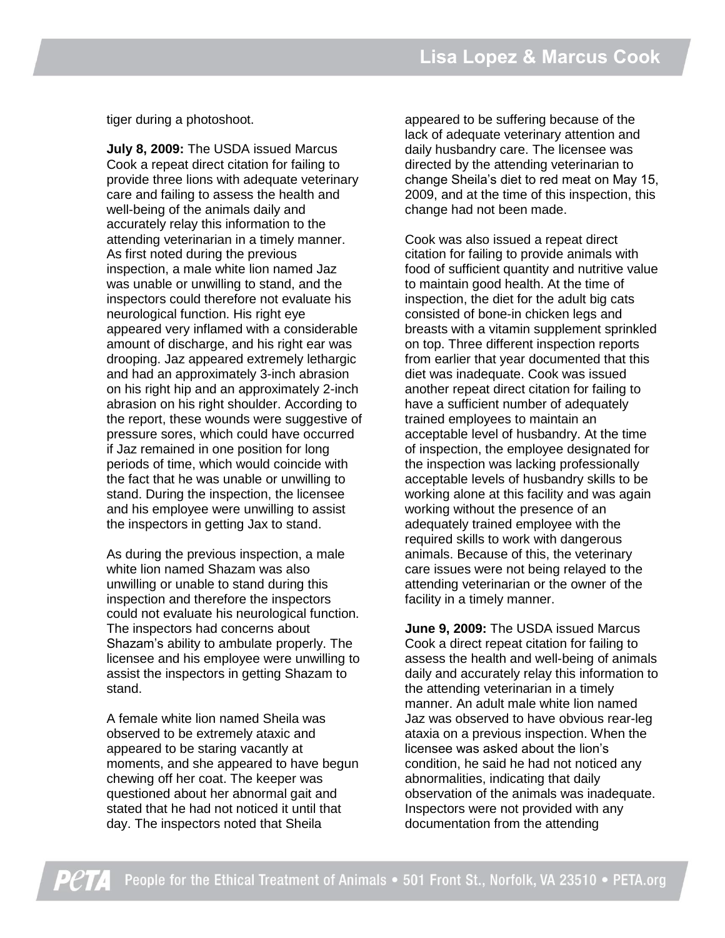tiger during a photoshoot.

**July 8, 2009:** The USDA issued Marcus Cook a repeat direct citation for failing to provide three lions with adequate veterinary care and failing to assess the health and well-being of the animals daily and accurately relay this information to the attending veterinarian in a timely manner. As first noted during the previous inspection, a male white lion named Jaz was unable or unwilling to stand, and the inspectors could therefore not evaluate his neurological function. His right eye appeared very inflamed with a considerable amount of discharge, and his right ear was drooping. Jaz appeared extremely lethargic and had an approximately 3-inch abrasion on his right hip and an approximately 2-inch abrasion on his right shoulder. According to the report, these wounds were suggestive of pressure sores, which could have occurred if Jaz remained in one position for long periods of time, which would coincide with the fact that he was unable or unwilling to stand. During the inspection, the licensee and his employee were unwilling to assist the inspectors in getting Jax to stand.

As during the previous inspection, a male white lion named Shazam was also unwilling or unable to stand during this inspection and therefore the inspectors could not evaluate his neurological function. The inspectors had concerns about Shazam's ability to ambulate properly. The licensee and his employee were unwilling to assist the inspectors in getting Shazam to stand.

A female white lion named Sheila was observed to be extremely ataxic and appeared to be staring vacantly at moments, and she appeared to have begun chewing off her coat. The keeper was questioned about her abnormal gait and stated that he had not noticed it until that day. The inspectors noted that Sheila

appeared to be suffering because of the lack of adequate veterinary attention and daily husbandry care. The licensee was directed by the attending veterinarian to change Sheila's diet to red meat on May 15, 2009, and at the time of this inspection, this change had not been made.

Cook was also issued a repeat direct citation for failing to provide animals with food of sufficient quantity and nutritive value to maintain good health. At the time of inspection, the diet for the adult big cats consisted of bone-in chicken legs and breasts with a vitamin supplement sprinkled on top. Three different inspection reports from earlier that year documented that this diet was inadequate. Cook was issued another repeat direct citation for failing to have a sufficient number of adequately trained employees to maintain an acceptable level of husbandry. At the time of inspection, the employee designated for the inspection was lacking professionally acceptable levels of husbandry skills to be working alone at this facility and was again working without the presence of an adequately trained employee with the required skills to work with dangerous animals. Because of this, the veterinary care issues were not being relayed to the attending veterinarian or the owner of the facility in a timely manner.

**June 9, 2009:** The USDA issued Marcus Cook a direct repeat citation for failing to assess the health and well-being of animals daily and accurately relay this information to the attending veterinarian in a timely manner. An adult male white lion named Jaz was observed to have obvious rear-leg ataxia on a previous inspection. When the licensee was asked about the lion's condition, he said he had not noticed any abnormalities, indicating that daily observation of the animals was inadequate. Inspectors were not provided with any documentation from the attending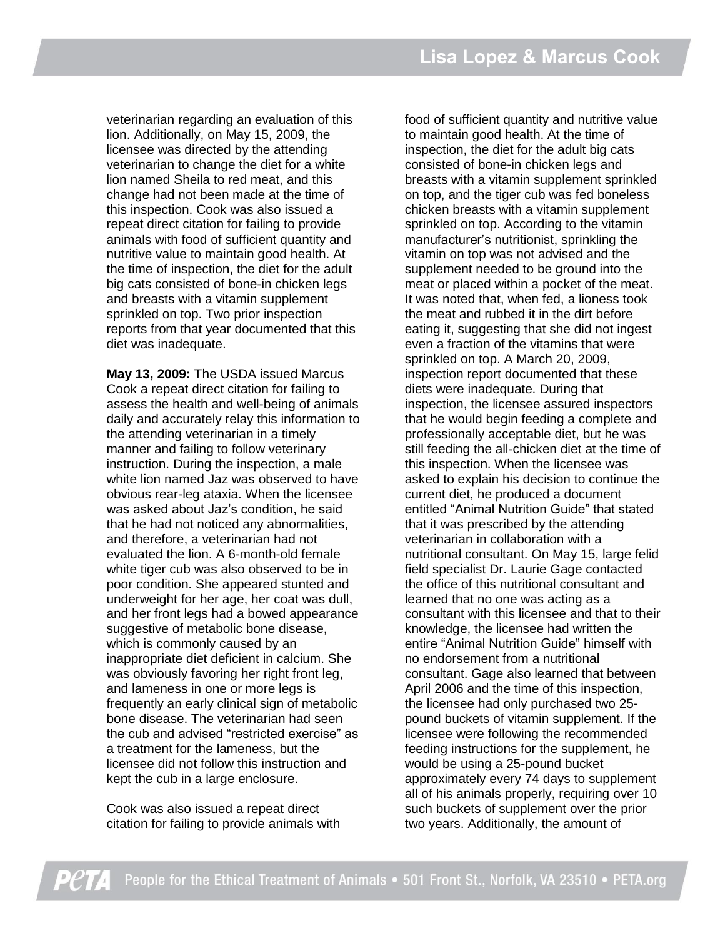veterinarian regarding an evaluation of this lion. Additionally, on May 15, 2009, the licensee was directed by the attending veterinarian to change the diet for a white lion named Sheila to red meat, and this change had not been made at the time of this inspection. Cook was also issued a repeat direct citation for failing to provide animals with food of sufficient quantity and nutritive value to maintain good health. At the time of inspection, the diet for the adult big cats consisted of bone-in chicken legs and breasts with a vitamin supplement sprinkled on top. Two prior inspection reports from that year documented that this diet was inadequate.

**May 13, 2009:** The USDA issued Marcus Cook a repeat direct citation for failing to assess the health and well-being of animals daily and accurately relay this information to the attending veterinarian in a timely manner and failing to follow veterinary instruction. During the inspection, a male white lion named Jaz was observed to have obvious rear-leg ataxia. When the licensee was asked about Jaz's condition, he said that he had not noticed any abnormalities, and therefore, a veterinarian had not evaluated the lion. A 6-month-old female white tiger cub was also observed to be in poor condition. She appeared stunted and underweight for her age, her coat was dull, and her front legs had a bowed appearance suggestive of metabolic bone disease, which is commonly caused by an inappropriate diet deficient in calcium. She was obviously favoring her right front leg, and lameness in one or more legs is frequently an early clinical sign of metabolic bone disease. The veterinarian had seen the cub and advised "restricted exercise" as a treatment for the lameness, but the licensee did not follow this instruction and kept the cub in a large enclosure.

Cook was also issued a repeat direct citation for failing to provide animals with

food of sufficient quantity and nutritive value to maintain good health. At the time of inspection, the diet for the adult big cats consisted of bone-in chicken legs and breasts with a vitamin supplement sprinkled on top, and the tiger cub was fed boneless chicken breasts with a vitamin supplement sprinkled on top. According to the vitamin manufacturer's nutritionist, sprinkling the vitamin on top was not advised and the supplement needed to be ground into the meat or placed within a pocket of the meat. It was noted that, when fed, a lioness took the meat and rubbed it in the dirt before eating it, suggesting that she did not ingest even a fraction of the vitamins that were sprinkled on top. A March 20, 2009, inspection report documented that these diets were inadequate. During that inspection, the licensee assured inspectors that he would begin feeding a complete and professionally acceptable diet, but he was still feeding the all-chicken diet at the time of this inspection. When the licensee was asked to explain his decision to continue the current diet, he produced a document entitled "Animal Nutrition Guide" that stated that it was prescribed by the attending veterinarian in collaboration with a nutritional consultant. On May 15, large felid field specialist Dr. Laurie Gage contacted the office of this nutritional consultant and learned that no one was acting as a consultant with this licensee and that to their knowledge, the licensee had written the entire "Animal Nutrition Guide" himself with no endorsement from a nutritional consultant. Gage also learned that between April 2006 and the time of this inspection, the licensee had only purchased two 25 pound buckets of vitamin supplement. If the licensee were following the recommended feeding instructions for the supplement, he would be using a 25-pound bucket approximately every 74 days to supplement all of his animals properly, requiring over 10 such buckets of supplement over the prior two years. Additionally, the amount of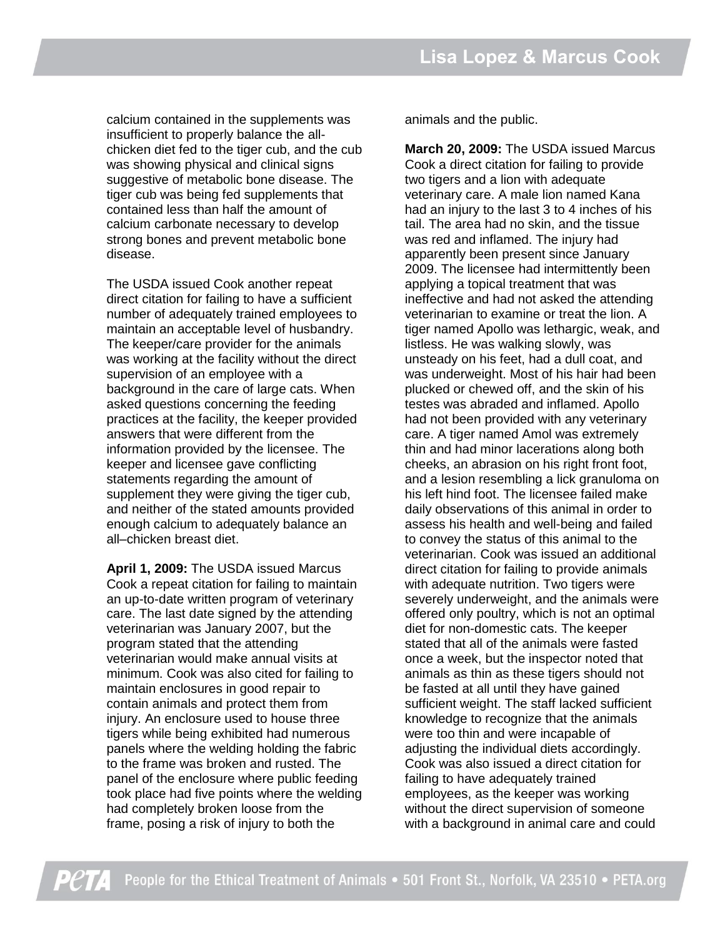calcium contained in the supplements was insufficient to properly balance the allchicken diet fed to the tiger cub, and the cub was showing physical and clinical signs suggestive of metabolic bone disease. The tiger cub was being fed supplements that contained less than half the amount of calcium carbonate necessary to develop strong bones and prevent metabolic bone disease.

The USDA issued Cook another repeat direct citation for failing to have a sufficient number of adequately trained employees to maintain an acceptable level of husbandry. The keeper/care provider for the animals was working at the facility without the direct supervision of an employee with a background in the care of large cats. When asked questions concerning the feeding practices at the facility, the keeper provided answers that were different from the information provided by the licensee. The keeper and licensee gave conflicting statements regarding the amount of supplement they were giving the tiger cub, and neither of the stated amounts provided enough calcium to adequately balance an all–chicken breast diet.

**April 1, 2009:** The USDA issued Marcus Cook a repeat citation for failing to maintain an up-to-date written program of veterinary care. The last date signed by the attending veterinarian was January 2007, but the program stated that the attending veterinarian would make annual visits at minimum. Cook was also cited for failing to maintain enclosures in good repair to contain animals and protect them from injury. An enclosure used to house three tigers while being exhibited had numerous panels where the welding holding the fabric to the frame was broken and rusted. The panel of the enclosure where public feeding took place had five points where the welding had completely broken loose from the frame, posing a risk of injury to both the

animals and the public.

**March 20, 2009:** The USDA issued Marcus Cook a direct citation for failing to provide two tigers and a lion with adequate veterinary care. A male lion named Kana had an injury to the last 3 to 4 inches of his tail. The area had no skin, and the tissue was red and inflamed. The injury had apparently been present since January 2009. The licensee had intermittently been applying a topical treatment that was ineffective and had not asked the attending veterinarian to examine or treat the lion. A tiger named Apollo was lethargic, weak, and listless. He was walking slowly, was unsteady on his feet, had a dull coat, and was underweight. Most of his hair had been plucked or chewed off, and the skin of his testes was abraded and inflamed. Apollo had not been provided with any veterinary care. A tiger named Amol was extremely thin and had minor lacerations along both cheeks, an abrasion on his right front foot, and a lesion resembling a lick granuloma on his left hind foot. The licensee failed make daily observations of this animal in order to assess his health and well-being and failed to convey the status of this animal to the veterinarian. Cook was issued an additional direct citation for failing to provide animals with adequate nutrition. Two tigers were severely underweight, and the animals were offered only poultry, which is not an optimal diet for non-domestic cats. The keeper stated that all of the animals were fasted once a week, but the inspector noted that animals as thin as these tigers should not be fasted at all until they have gained sufficient weight. The staff lacked sufficient knowledge to recognize that the animals were too thin and were incapable of adjusting the individual diets accordingly. Cook was also issued a direct citation for failing to have adequately trained employees, as the keeper was working without the direct supervision of someone with a background in animal care and could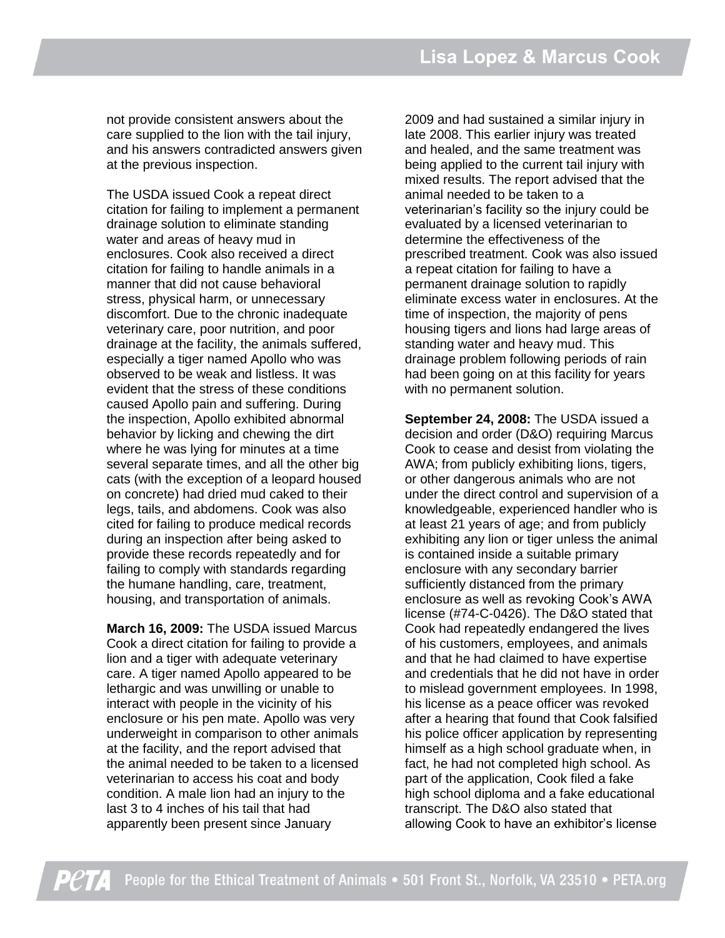not provide consistent answers about the care supplied to the lion with the tail injury, and his answers contradicted answers given at the previous inspection.

The USDA issued Cook a repeat direct citation for failing to implement a permanent drainage solution to eliminate standing water and areas of heavy mud in enclosures. Cook also received a direct citation for failing to handle animals in a manner that did not cause behavioral stress, physical harm, or unnecessary discomfort. Due to the chronic inadequate veterinary care, poor nutrition, and poor drainage at the facility, the animals suffered, especially a tiger named Apollo who was observed to be weak and listless. It was evident that the stress of these conditions caused Apollo pain and suffering. During the inspection, Apollo exhibited abnormal behavior by licking and chewing the dirt where he was lying for minutes at a time several separate times, and all the other big cats (with the exception of a leopard housed on concrete) had dried mud caked to their legs, tails, and abdomens. Cook was also cited for failing to produce medical records during an inspection after being asked to provide these records repeatedly and for failing to comply with standards regarding the humane handling, care, treatment, housing, and transportation of animals.

**March 16, 2009:** The USDA issued Marcus Cook a direct citation for failing to provide a lion and a tiger with adequate veterinary care. A tiger named Apollo appeared to be lethargic and was unwilling or unable to interact with people in the vicinity of his enclosure or his pen mate. Apollo was very underweight in comparison to other animals at the facility, and the report advised that the animal needed to be taken to a licensed veterinarian to access his coat and body condition. A male lion had an injury to the last 3 to 4 inches of his tail that had apparently been present since January

2009 and had sustained a similar injury in late 2008. This earlier injury was treated and healed, and the same treatment was being applied to the current tail injury with mixed results. The report advised that the animal needed to be taken to a veterinarian's facility so the injury could be evaluated by a licensed veterinarian to determine the effectiveness of the prescribed treatment. Cook was also issued a repeat citation for failing to have a permanent drainage solution to rapidly eliminate excess water in enclosures. At the time of inspection, the majority of pens housing tigers and lions had large areas of standing water and heavy mud. This drainage problem following periods of rain had been going on at this facility for years with no permanent solution.

**September 24, 2008:** The USDA issued a decision and order (D&O) requiring Marcus Cook to cease and desist from violating the AWA; from publicly exhibiting lions, tigers, or other dangerous animals who are not under the direct control and supervision of a knowledgeable, experienced handler who is at least 21 years of age; and from publicly exhibiting any lion or tiger unless the animal is contained inside a suitable primary enclosure with any secondary barrier sufficiently distanced from the primary enclosure as well as revoking Cook's AWA license (#74-C-0426). The D&O stated that Cook had repeatedly endangered the lives of his customers, employees, and animals and that he had claimed to have expertise and credentials that he did not have in order to mislead government employees. In 1998, his license as a peace officer was revoked after a hearing that found that Cook falsified his police officer application by representing himself as a high school graduate when, in fact, he had not completed high school. As part of the application, Cook filed a fake high school diploma and a fake educational transcript. The D&O also stated that allowing Cook to have an exhibitor's license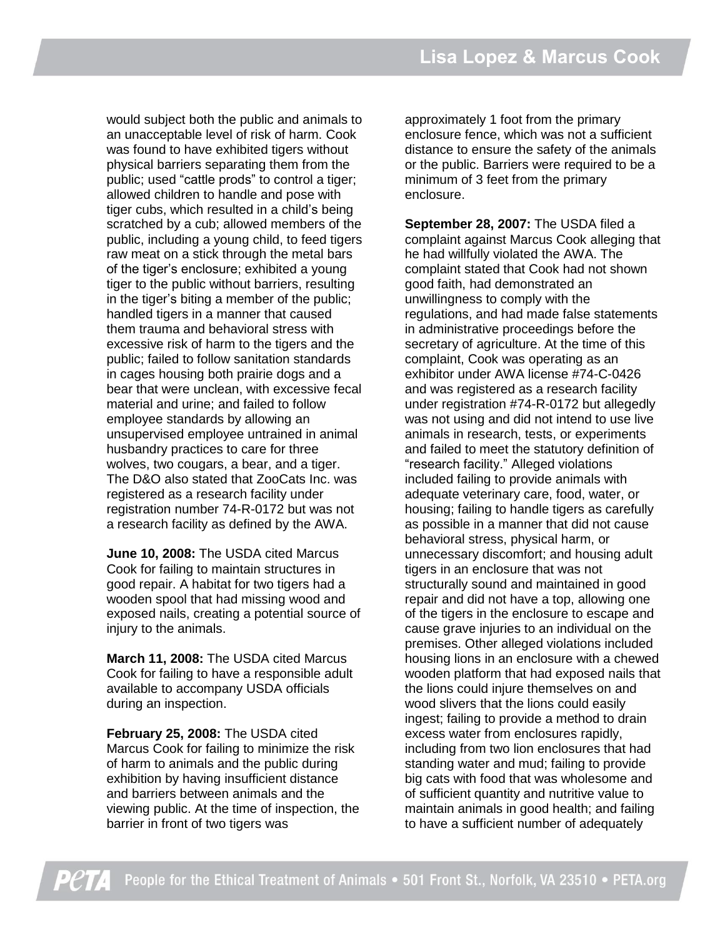would subject both the public and animals to an unacceptable level of risk of harm. Cook was found to have exhibited tigers without physical barriers separating them from the public; used "cattle prods" to control a tiger; allowed children to handle and pose with tiger cubs, which resulted in a child's being scratched by a cub; allowed members of the public, including a young child, to feed tigers raw meat on a stick through the metal bars of the tiger's enclosure; exhibited a young tiger to the public without barriers, resulting in the tiger's biting a member of the public; handled tigers in a manner that caused them trauma and behavioral stress with excessive risk of harm to the tigers and the public; failed to follow sanitation standards in cages housing both prairie dogs and a bear that were unclean, with excessive fecal material and urine; and failed to follow employee standards by allowing an unsupervised employee untrained in animal husbandry practices to care for three wolves, two cougars, a bear, and a tiger. The D&O also stated that ZooCats Inc. was registered as a research facility under registration number 74-R-0172 but was not a research facility as defined by the AWA.

**June 10, 2008:** The USDA cited Marcus Cook for failing to maintain structures in good repair. A habitat for two tigers had a wooden spool that had missing wood and exposed nails, creating a potential source of injury to the animals.

**March 11, 2008:** The USDA cited Marcus Cook for failing to have a responsible adult available to accompany USDA officials during an inspection.

**February 25, 2008:** The USDA cited Marcus Cook for failing to minimize the risk of harm to animals and the public during exhibition by having insufficient distance and barriers between animals and the viewing public. At the time of inspection, the barrier in front of two tigers was

approximately 1 foot from the primary enclosure fence, which was not a sufficient distance to ensure the safety of the animals or the public. Barriers were required to be a minimum of 3 feet from the primary enclosure.

**September 28, 2007:** The USDA filed a complaint against Marcus Cook alleging that he had willfully violated the AWA. The complaint stated that Cook had not shown good faith, had demonstrated an unwillingness to comply with the regulations, and had made false statements in administrative proceedings before the secretary of agriculture. At the time of this complaint, Cook was operating as an exhibitor under AWA license #74-C-0426 and was registered as a research facility under registration #74-R-0172 but allegedly was not using and did not intend to use live animals in research, tests, or experiments and failed to meet the statutory definition of "research facility." Alleged violations included failing to provide animals with adequate veterinary care, food, water, or housing; failing to handle tigers as carefully as possible in a manner that did not cause behavioral stress, physical harm, or unnecessary discomfort; and housing adult tigers in an enclosure that was not structurally sound and maintained in good repair and did not have a top, allowing one of the tigers in the enclosure to escape and cause grave injuries to an individual on the premises. Other alleged violations included housing lions in an enclosure with a chewed wooden platform that had exposed nails that the lions could injure themselves on and wood slivers that the lions could easily ingest; failing to provide a method to drain excess water from enclosures rapidly, including from two lion enclosures that had standing water and mud; failing to provide big cats with food that was wholesome and of sufficient quantity and nutritive value to maintain animals in good health; and failing to have a sufficient number of adequately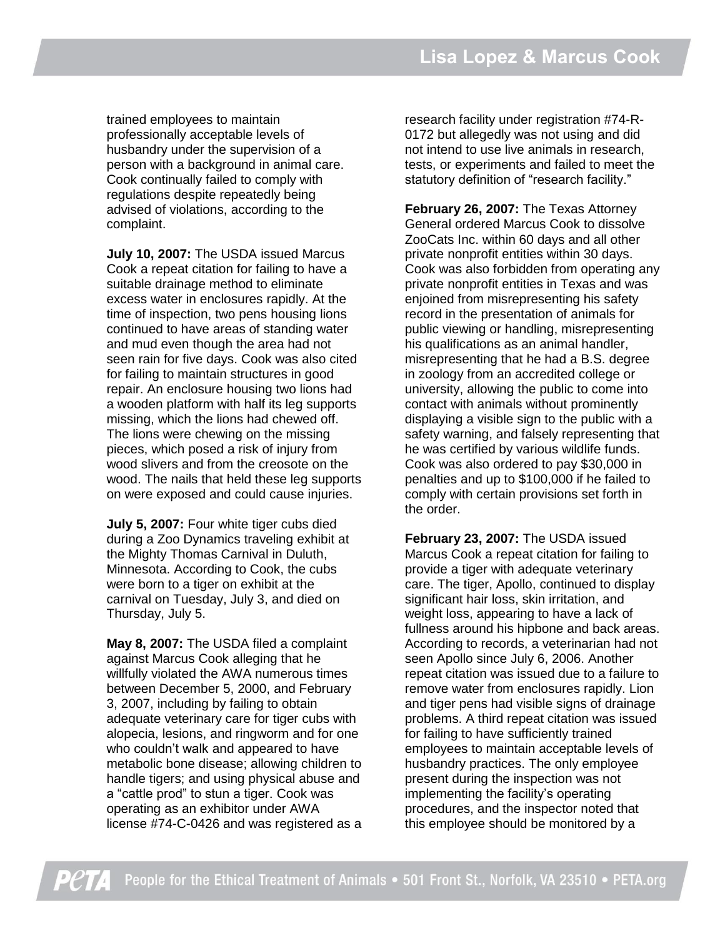trained employees to maintain professionally acceptable levels of husbandry under the supervision of a person with a background in animal care. Cook continually failed to comply with regulations despite repeatedly being advised of violations, according to the complaint.

**July 10, 2007:** The USDA issued Marcus Cook a repeat citation for failing to have a suitable drainage method to eliminate excess water in enclosures rapidly. At the time of inspection, two pens housing lions continued to have areas of standing water and mud even though the area had not seen rain for five days. Cook was also cited for failing to maintain structures in good repair. An enclosure housing two lions had a wooden platform with half its leg supports missing, which the lions had chewed off. The lions were chewing on the missing pieces, which posed a risk of injury from wood slivers and from the creosote on the wood. The nails that held these leg supports on were exposed and could cause injuries.

**July 5, 2007:** Four white tiger cubs died during a Zoo Dynamics traveling exhibit at the Mighty Thomas Carnival in Duluth, Minnesota. According to Cook, the cubs were born to a tiger on exhibit at the carnival on Tuesday, July 3, and died on Thursday, July 5.

**May 8, 2007:** The USDA filed a complaint against Marcus Cook alleging that he willfully violated the AWA numerous times between December 5, 2000, and February 3, 2007, including by failing to obtain adequate veterinary care for tiger cubs with alopecia, lesions, and ringworm and for one who couldn't walk and appeared to have metabolic bone disease; allowing children to handle tigers; and using physical abuse and a "cattle prod" to stun a tiger. Cook was operating as an exhibitor under AWA license #74-C-0426 and was registered as a

research facility under registration #74-R-0172 but allegedly was not using and did not intend to use live animals in research, tests, or experiments and failed to meet the statutory definition of "research facility."

**February 26, 2007:** The Texas Attorney General ordered Marcus Cook to dissolve ZooCats Inc. within 60 days and all other private nonprofit entities within 30 days. Cook was also forbidden from operating any private nonprofit entities in Texas and was enjoined from misrepresenting his safety record in the presentation of animals for public viewing or handling, misrepresenting his qualifications as an animal handler, misrepresenting that he had a B.S. degree in zoology from an accredited college or university, allowing the public to come into contact with animals without prominently displaying a visible sign to the public with a safety warning, and falsely representing that he was certified by various wildlife funds. Cook was also ordered to pay \$30,000 in penalties and up to \$100,000 if he failed to comply with certain provisions set forth in the order.

**February 23, 2007:** The USDA issued Marcus Cook a repeat citation for failing to provide a tiger with adequate veterinary care. The tiger, Apollo, continued to display significant hair loss, skin irritation, and weight loss, appearing to have a lack of fullness around his hipbone and back areas. According to records, a veterinarian had not seen Apollo since July 6, 2006. Another repeat citation was issued due to a failure to remove water from enclosures rapidly. Lion and tiger pens had visible signs of drainage problems. A third repeat citation was issued for failing to have sufficiently trained employees to maintain acceptable levels of husbandry practices. The only employee present during the inspection was not implementing the facility's operating procedures, and the inspector noted that this employee should be monitored by a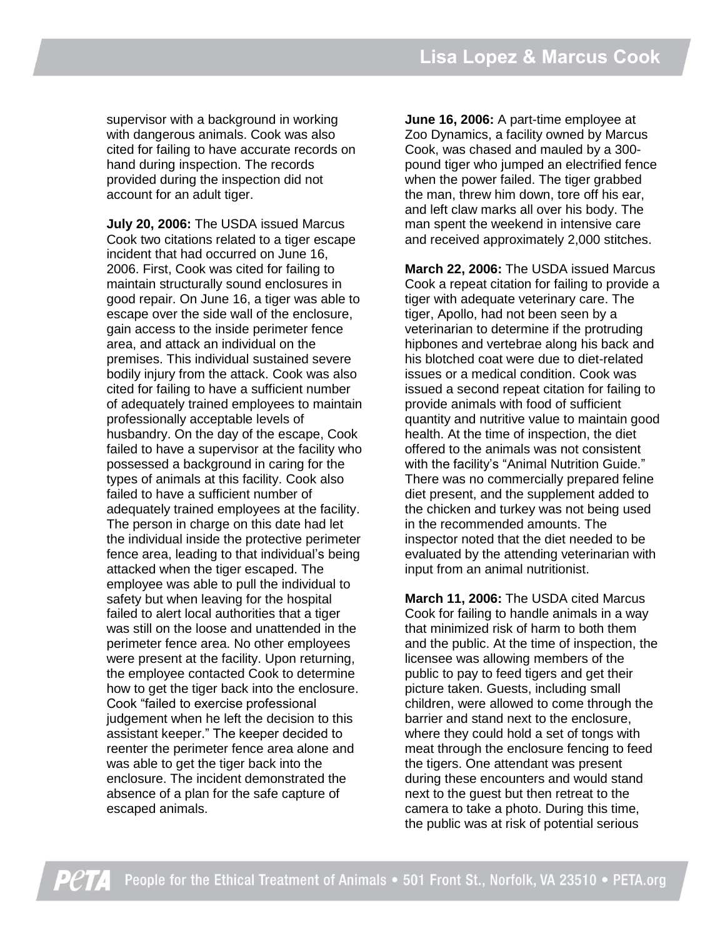supervisor with a background in working with dangerous animals. Cook was also cited for failing to have accurate records on hand during inspection. The records provided during the inspection did not account for an adult tiger.

**July 20, 2006:** The USDA issued Marcus Cook two citations related to a tiger escape incident that had occurred on June 16, 2006. First, Cook was cited for failing to maintain structurally sound enclosures in good repair. On June 16, a tiger was able to escape over the side wall of the enclosure, gain access to the inside perimeter fence area, and attack an individual on the premises. This individual sustained severe bodily injury from the attack. Cook was also cited for failing to have a sufficient number of adequately trained employees to maintain professionally acceptable levels of husbandry. On the day of the escape, Cook failed to have a supervisor at the facility who possessed a background in caring for the types of animals at this facility. Cook also failed to have a sufficient number of adequately trained employees at the facility. The person in charge on this date had let the individual inside the protective perimeter fence area, leading to that individual's being attacked when the tiger escaped. The employee was able to pull the individual to safety but when leaving for the hospital failed to alert local authorities that a tiger was still on the loose and unattended in the perimeter fence area. No other employees were present at the facility. Upon returning, the employee contacted Cook to determine how to get the tiger back into the enclosure. Cook "failed to exercise professional judgement when he left the decision to this assistant keeper." The keeper decided to reenter the perimeter fence area alone and was able to get the tiger back into the enclosure. The incident demonstrated the absence of a plan for the safe capture of escaped animals.

**June 16, 2006:** A part-time employee at Zoo Dynamics, a facility owned by Marcus Cook, was chased and mauled by a 300 pound tiger who jumped an electrified fence when the power failed. The tiger grabbed the man, threw him down, tore off his ear, and left claw marks all over his body. The man spent the weekend in intensive care and received approximately 2,000 stitches.

**March 22, 2006:** The USDA issued Marcus Cook a repeat citation for failing to provide a tiger with adequate veterinary care. The tiger, Apollo, had not been seen by a veterinarian to determine if the protruding hipbones and vertebrae along his back and his blotched coat were due to diet-related issues or a medical condition. Cook was issued a second repeat citation for failing to provide animals with food of sufficient quantity and nutritive value to maintain good health. At the time of inspection, the diet offered to the animals was not consistent with the facility's "Animal Nutrition Guide." There was no commercially prepared feline diet present, and the supplement added to the chicken and turkey was not being used in the recommended amounts. The inspector noted that the diet needed to be evaluated by the attending veterinarian with input from an animal nutritionist.

**March 11, 2006:** The USDA cited Marcus Cook for failing to handle animals in a way that minimized risk of harm to both them and the public. At the time of inspection, the licensee was allowing members of the public to pay to feed tigers and get their picture taken. Guests, including small children, were allowed to come through the barrier and stand next to the enclosure, where they could hold a set of tongs with meat through the enclosure fencing to feed the tigers. One attendant was present during these encounters and would stand next to the guest but then retreat to the camera to take a photo. During this time, the public was at risk of potential serious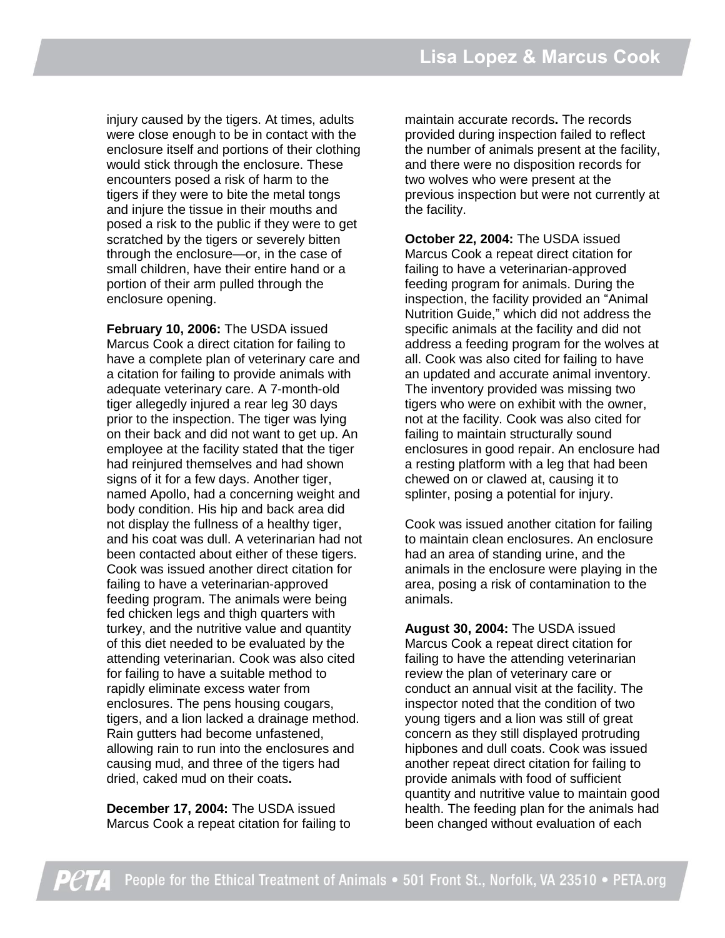injury caused by the tigers. At times, adults were close enough to be in contact with the enclosure itself and portions of their clothing would stick through the enclosure. These encounters posed a risk of harm to the tigers if they were to bite the metal tongs and injure the tissue in their mouths and posed a risk to the public if they were to get scratched by the tigers or severely bitten through the enclosure—or, in the case of small children, have their entire hand or a portion of their arm pulled through the enclosure opening.

**February 10, 2006:** The USDA issued Marcus Cook a direct citation for failing to have a complete plan of veterinary care and a citation for failing to provide animals with adequate veterinary care. A 7-month-old tiger allegedly injured a rear leg 30 days prior to the inspection. The tiger was lying on their back and did not want to get up. An employee at the facility stated that the tiger had reinjured themselves and had shown signs of it for a few days. Another tiger, named Apollo, had a concerning weight and body condition. His hip and back area did not display the fullness of a healthy tiger, and his coat was dull. A veterinarian had not been contacted about either of these tigers. Cook was issued another direct citation for failing to have a veterinarian-approved feeding program. The animals were being fed chicken legs and thigh quarters with turkey, and the nutritive value and quantity of this diet needed to be evaluated by the attending veterinarian. Cook was also cited for failing to have a suitable method to rapidly eliminate excess water from enclosures. The pens housing cougars, tigers, and a lion lacked a drainage method. Rain gutters had become unfastened, allowing rain to run into the enclosures and causing mud, and three of the tigers had dried, caked mud on their coats**.**

**December 17, 2004:** The USDA issued Marcus Cook a repeat citation for failing to

maintain accurate records**.** The records provided during inspection failed to reflect the number of animals present at the facility, and there were no disposition records for two wolves who were present at the previous inspection but were not currently at the facility.

**October 22, 2004:** The USDA issued Marcus Cook a repeat direct citation for failing to have a veterinarian-approved feeding program for animals. During the inspection, the facility provided an "Animal Nutrition Guide," which did not address the specific animals at the facility and did not address a feeding program for the wolves at all. Cook was also cited for failing to have an updated and accurate animal inventory. The inventory provided was missing two tigers who were on exhibit with the owner, not at the facility. Cook was also cited for failing to maintain structurally sound enclosures in good repair. An enclosure had a resting platform with a leg that had been chewed on or clawed at, causing it to splinter, posing a potential for injury.

Cook was issued another citation for failing to maintain clean enclosures. An enclosure had an area of standing urine, and the animals in the enclosure were playing in the area, posing a risk of contamination to the animals.

**August 30, 2004:** The USDA issued Marcus Cook a repeat direct citation for failing to have the attending veterinarian review the plan of veterinary care or conduct an annual visit at the facility. The inspector noted that the condition of two young tigers and a lion was still of great concern as they still displayed protruding hipbones and dull coats. Cook was issued another repeat direct citation for failing to provide animals with food of sufficient quantity and nutritive value to maintain good health. The feeding plan for the animals had been changed without evaluation of each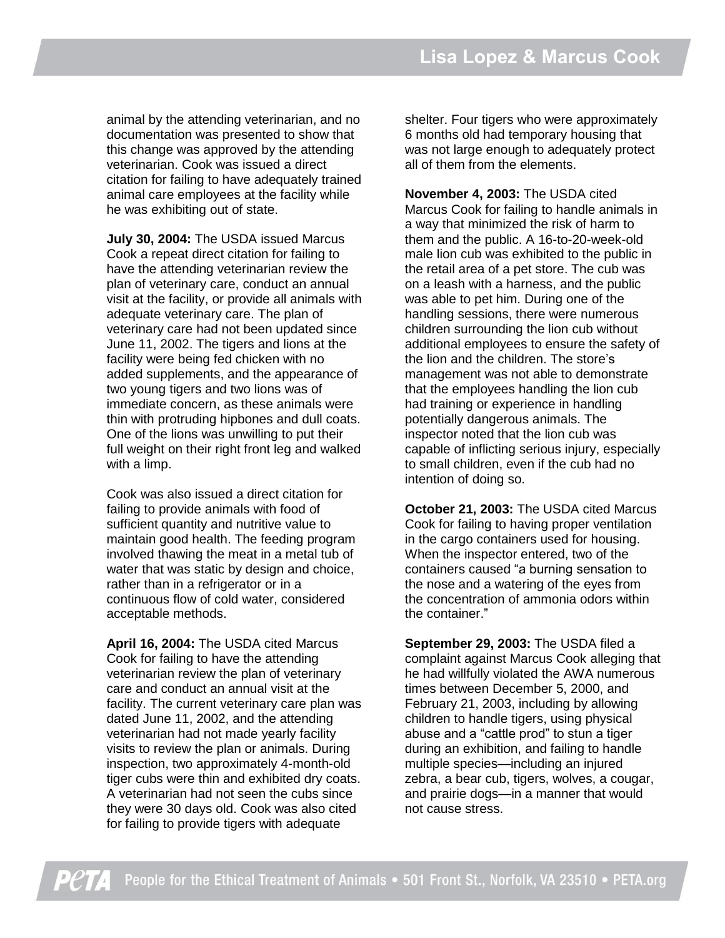animal by the attending veterinarian, and no documentation was presented to show that this change was approved by the attending veterinarian. Cook was issued a direct citation for failing to have adequately trained animal care employees at the facility while he was exhibiting out of state.

**July 30, 2004:** The USDA issued Marcus Cook a repeat direct citation for failing to have the attending veterinarian review the plan of veterinary care, conduct an annual visit at the facility, or provide all animals with adequate veterinary care. The plan of veterinary care had not been updated since June 11, 2002. The tigers and lions at the facility were being fed chicken with no added supplements, and the appearance of two young tigers and two lions was of immediate concern, as these animals were thin with protruding hipbones and dull coats. One of the lions was unwilling to put their full weight on their right front leg and walked with a limp.

Cook was also issued a direct citation for failing to provide animals with food of sufficient quantity and nutritive value to maintain good health. The feeding program involved thawing the meat in a metal tub of water that was static by design and choice, rather than in a refrigerator or in a continuous flow of cold water, considered acceptable methods.

**April 16, 2004:** The USDA cited Marcus Cook for failing to have the attending veterinarian review the plan of veterinary care and conduct an annual visit at the facility. The current veterinary care plan was dated June 11, 2002, and the attending veterinarian had not made yearly facility visits to review the plan or animals. During inspection, two approximately 4-month-old tiger cubs were thin and exhibited dry coats. A veterinarian had not seen the cubs since they were 30 days old. Cook was also cited for failing to provide tigers with adequate

shelter. Four tigers who were approximately 6 months old had temporary housing that was not large enough to adequately protect all of them from the elements.

**November 4, 2003:** The USDA cited Marcus Cook for failing to handle animals in a way that minimized the risk of harm to them and the public. A 16-to-20-week-old male lion cub was exhibited to the public in the retail area of a pet store. The cub was on a leash with a harness, and the public was able to pet him. During one of the handling sessions, there were numerous children surrounding the lion cub without additional employees to ensure the safety of the lion and the children. The store's management was not able to demonstrate that the employees handling the lion cub had training or experience in handling potentially dangerous animals. The inspector noted that the lion cub was capable of inflicting serious injury, especially to small children, even if the cub had no intention of doing so.

**October 21, 2003:** The USDA cited Marcus Cook for failing to having proper ventilation in the cargo containers used for housing. When the inspector entered, two of the containers caused "a burning sensation to the nose and a watering of the eyes from the concentration of ammonia odors within the container."

**September 29, 2003:** The USDA filed a complaint against Marcus Cook alleging that he had willfully violated the AWA numerous times between December 5, 2000, and February 21, 2003, including by allowing children to handle tigers, using physical abuse and a "cattle prod" to stun a tiger during an exhibition, and failing to handle multiple species—including an injured zebra, a bear cub, tigers, wolves, a cougar, and prairie dogs—in a manner that would not cause stress.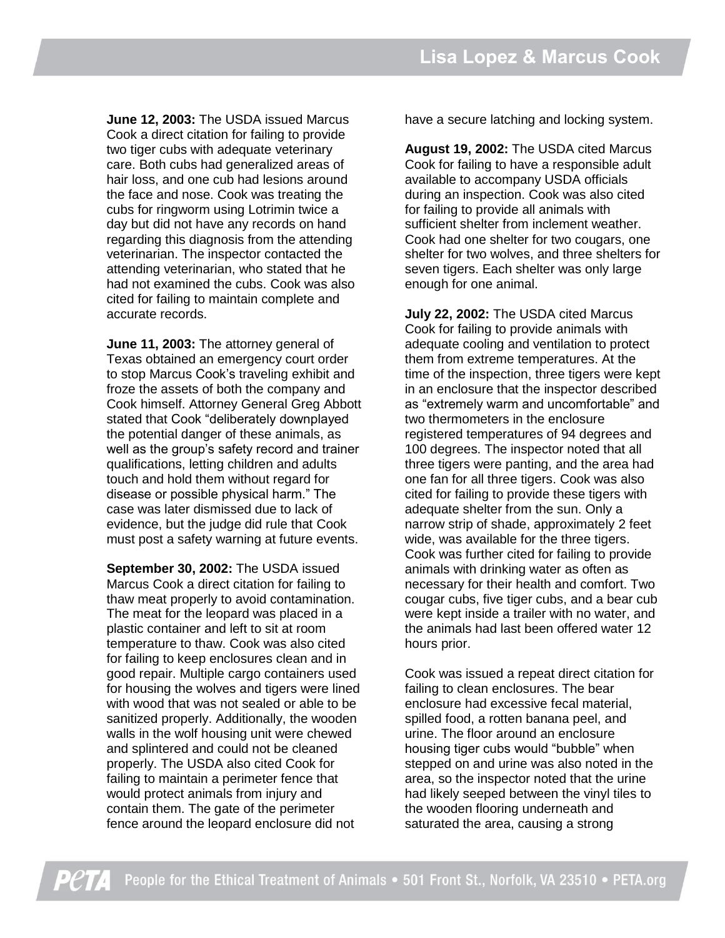**June 12, 2003:** The USDA issued Marcus Cook a direct citation for failing to provide two tiger cubs with adequate veterinary care. Both cubs had generalized areas of hair loss, and one cub had lesions around the face and nose. Cook was treating the cubs for ringworm using Lotrimin twice a day but did not have any records on hand regarding this diagnosis from the attending veterinarian. The inspector contacted the attending veterinarian, who stated that he had not examined the cubs. Cook was also cited for failing to maintain complete and accurate records.

**June 11, 2003:** The attorney general of Texas obtained an emergency court order to stop Marcus Cook's traveling exhibit and froze the assets of both the company and Cook himself. Attorney General Greg Abbott stated that Cook "deliberately downplayed the potential danger of these animals, as well as the group's safety record and trainer qualifications, letting children and adults touch and hold them without regard for disease or possible physical harm." The case was later dismissed due to lack of evidence, but the judge did rule that Cook must post a safety warning at future events.

**September 30, 2002:** The USDA issued Marcus Cook a direct citation for failing to thaw meat properly to avoid contamination. The meat for the leopard was placed in a plastic container and left to sit at room temperature to thaw. Cook was also cited for failing to keep enclosures clean and in good repair. Multiple cargo containers used for housing the wolves and tigers were lined with wood that was not sealed or able to be sanitized properly. Additionally, the wooden walls in the wolf housing unit were chewed and splintered and could not be cleaned properly. The USDA also cited Cook for failing to maintain a perimeter fence that would protect animals from injury and contain them. The gate of the perimeter fence around the leopard enclosure did not

have a secure latching and locking system.

**August 19, 2002:** The USDA cited Marcus Cook for failing to have a responsible adult available to accompany USDA officials during an inspection. Cook was also cited for failing to provide all animals with sufficient shelter from inclement weather. Cook had one shelter for two cougars, one shelter for two wolves, and three shelters for seven tigers. Each shelter was only large enough for one animal.

**July 22, 2002:** The USDA cited Marcus Cook for failing to provide animals with adequate cooling and ventilation to protect them from extreme temperatures. At the time of the inspection, three tigers were kept in an enclosure that the inspector described as "extremely warm and uncomfortable" and two thermometers in the enclosure registered temperatures of 94 degrees and 100 degrees. The inspector noted that all three tigers were panting, and the area had one fan for all three tigers. Cook was also cited for failing to provide these tigers with adequate shelter from the sun. Only a narrow strip of shade, approximately 2 feet wide, was available for the three tigers. Cook was further cited for failing to provide animals with drinking water as often as necessary for their health and comfort. Two cougar cubs, five tiger cubs, and a bear cub were kept inside a trailer with no water, and the animals had last been offered water 12 hours prior.

Cook was issued a repeat direct citation for failing to clean enclosures. The bear enclosure had excessive fecal material, spilled food, a rotten banana peel, and urine. The floor around an enclosure housing tiger cubs would "bubble" when stepped on and urine was also noted in the area, so the inspector noted that the urine had likely seeped between the vinyl tiles to the wooden flooring underneath and saturated the area, causing a strong